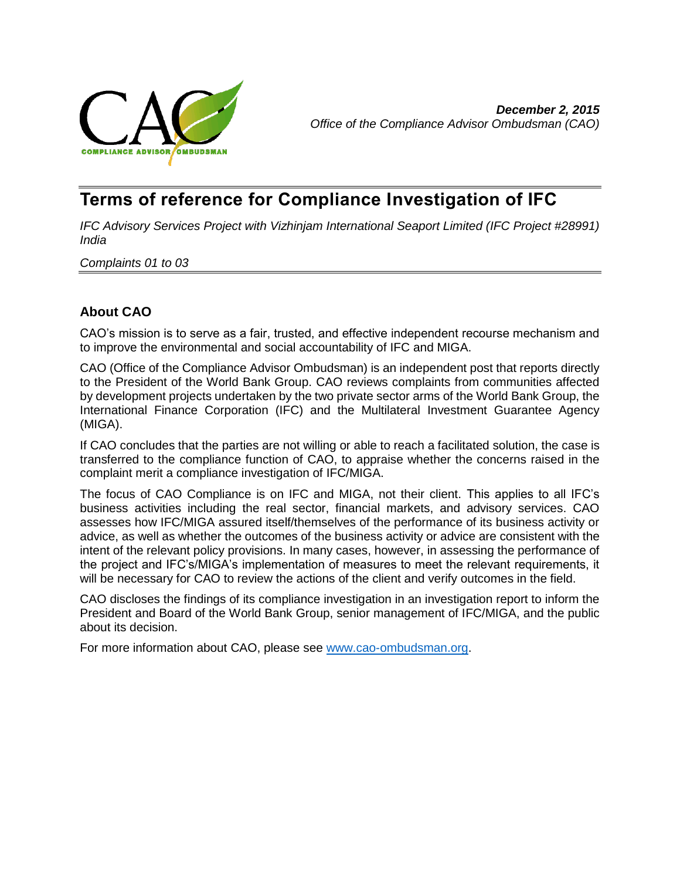

# **Terms of reference for Compliance Investigation of IFC**

*IFC Advisory Services Project with Vizhinjam International Seaport Limited (IFC Project #28991) India*

*Complaints 01 to 03*

## **About CAO**

CAO's mission is to serve as a fair, trusted, and effective independent recourse mechanism and to improve the environmental and social accountability of IFC and MIGA.

CAO (Office of the Compliance Advisor Ombudsman) is an independent post that reports directly to the President of the World Bank Group. CAO reviews complaints from communities affected by development projects undertaken by the two private sector arms of the World Bank Group, the International Finance Corporation (IFC) and the Multilateral Investment Guarantee Agency (MIGA).

If CAO concludes that the parties are not willing or able to reach a facilitated solution, the case is transferred to the compliance function of CAO, to appraise whether the concerns raised in the complaint merit a compliance investigation of IFC/MIGA.

The focus of CAO Compliance is on IFC and MIGA, not their client. This applies to all IFC's business activities including the real sector, financial markets, and advisory services. CAO assesses how IFC/MIGA assured itself/themselves of the performance of its business activity or advice, as well as whether the outcomes of the business activity or advice are consistent with the intent of the relevant policy provisions. In many cases, however, in assessing the performance of the project and IFC's/MIGA's implementation of measures to meet the relevant requirements, it will be necessary for CAO to review the actions of the client and verify outcomes in the field.

CAO discloses the findings of its compliance investigation in an investigation report to inform the President and Board of the World Bank Group, senior management of IFC/MIGA, and the public about its decision.

For more information about CAO, please see [www.cao-ombudsman.org.](http://www.cao-ombudsman.org/)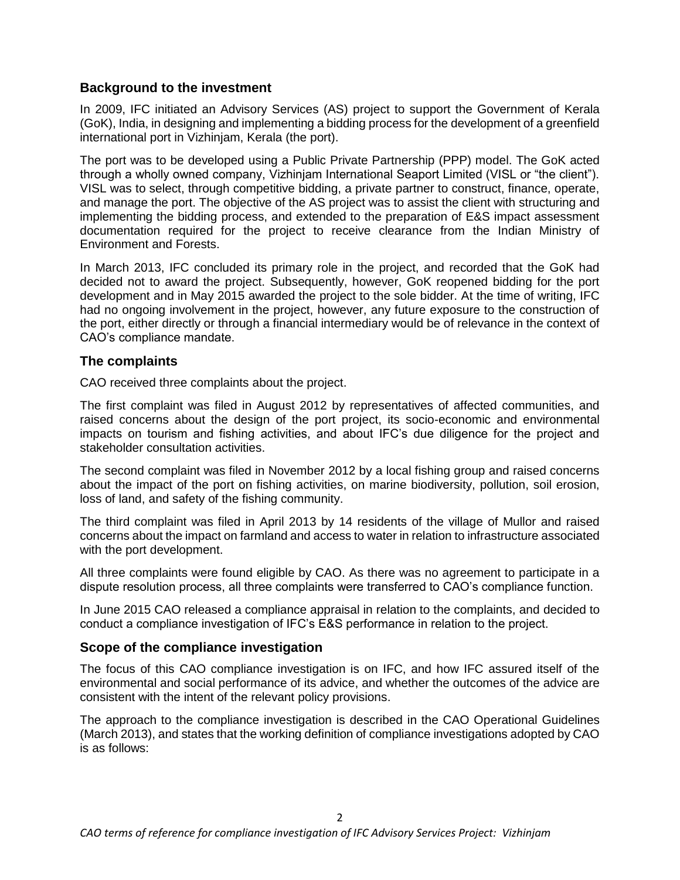### **Background to the investment**

In 2009, IFC initiated an Advisory Services (AS) project to support the Government of Kerala (GoK), India, in designing and implementing a bidding process for the development of a greenfield international port in Vizhinjam, Kerala (the port).

The port was to be developed using a Public Private Partnership (PPP) model. The GoK acted through a wholly owned company, Vizhinjam International Seaport Limited (VISL or "the client"). VISL was to select, through competitive bidding, a private partner to construct, finance, operate, and manage the port. The objective of the AS project was to assist the client with structuring and implementing the bidding process, and extended to the preparation of E&S impact assessment documentation required for the project to receive clearance from the Indian Ministry of Environment and Forests.

In March 2013, IFC concluded its primary role in the project, and recorded that the GoK had decided not to award the project. Subsequently, however, GoK reopened bidding for the port development and in May 2015 awarded the project to the sole bidder. At the time of writing, IFC had no ongoing involvement in the project, however, any future exposure to the construction of the port, either directly or through a financial intermediary would be of relevance in the context of CAO's compliance mandate.

### **The complaints**

CAO received three complaints about the project.

The first complaint was filed in August 2012 by representatives of affected communities, and raised concerns about the design of the port project, its socio-economic and environmental impacts on tourism and fishing activities, and about IFC's due diligence for the project and stakeholder consultation activities.

The second complaint was filed in November 2012 by a local fishing group and raised concerns about the impact of the port on fishing activities, on marine biodiversity, pollution, soil erosion, loss of land, and safety of the fishing community.

The third complaint was filed in April 2013 by 14 residents of the village of Mullor and raised concerns about the impact on farmland and access to water in relation to infrastructure associated with the port development.

All three complaints were found eligible by CAO. As there was no agreement to participate in a dispute resolution process, all three complaints were transferred to CAO's compliance function.

In June 2015 CAO released a compliance appraisal in relation to the complaints, and decided to conduct a compliance investigation of IFC's E&S performance in relation to the project.

#### **Scope of the compliance investigation**

The focus of this CAO compliance investigation is on IFC, and how IFC assured itself of the environmental and social performance of its advice, and whether the outcomes of the advice are consistent with the intent of the relevant policy provisions.

The approach to the compliance investigation is described in the CAO Operational Guidelines (March 2013), and states that the working definition of compliance investigations adopted by CAO is as follows: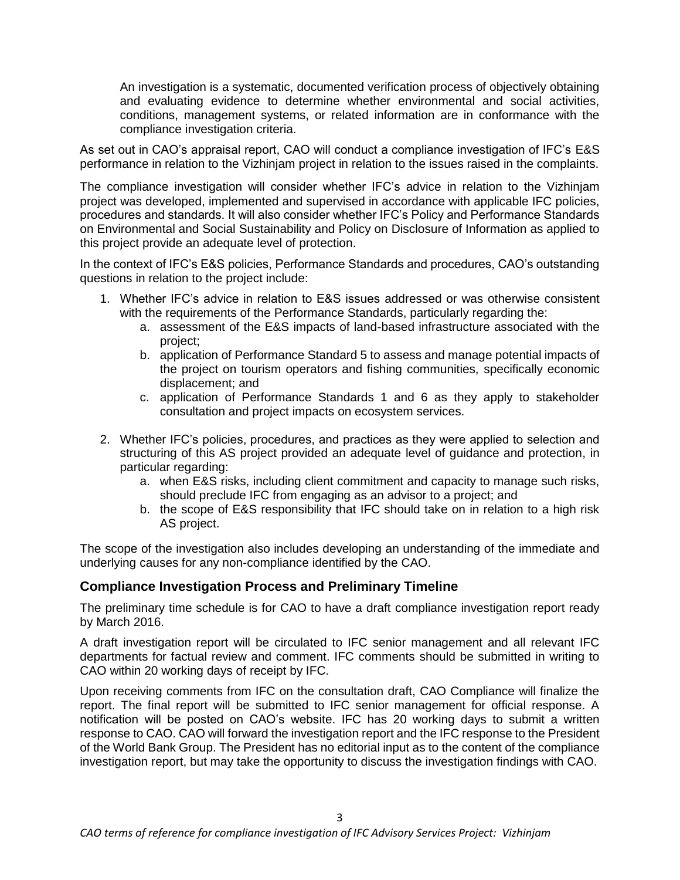An investigation is a systematic, documented verification process of objectively obtaining and evaluating evidence to determine whether environmental and social activities, conditions, management systems, or related information are in conformance with the compliance investigation criteria.

As set out in CAO's appraisal report, CAO will conduct a compliance investigation of IFC's E&S performance in relation to the Vizhinjam project in relation to the issues raised in the complaints.

The compliance investigation will consider whether IFC's advice in relation to the Vizhinjam project was developed, implemented and supervised in accordance with applicable IFC policies, procedures and standards. It will also consider whether IFC's Policy and Performance Standards on Environmental and Social Sustainability and Policy on Disclosure of Information as applied to this project provide an adequate level of protection.

In the context of IFC's E&S policies, Performance Standards and procedures, CAO's outstanding questions in relation to the project include:

- 1. Whether IFC's advice in relation to E&S issues addressed or was otherwise consistent with the requirements of the Performance Standards, particularly regarding the:
	- a. assessment of the E&S impacts of land-based infrastructure associated with the project;
	- b. application of Performance Standard 5 to assess and manage potential impacts of the project on tourism operators and fishing communities, specifically economic displacement; and
	- c. application of Performance Standards 1 and 6 as they apply to stakeholder consultation and project impacts on ecosystem services.
- 2. Whether IFC's policies, procedures, and practices as they were applied to selection and structuring of this AS project provided an adequate level of guidance and protection, in particular regarding:
	- a. when E&S risks, including client commitment and capacity to manage such risks, should preclude IFC from engaging as an advisor to a project; and
	- b. the scope of E&S responsibility that IFC should take on in relation to a high risk AS project.

The scope of the investigation also includes developing an understanding of the immediate and underlying causes for any non-compliance identified by the CAO.

## **Compliance Investigation Process and Preliminary Timeline**

The preliminary time schedule is for CAO to have a draft compliance investigation report ready by March 2016.

A draft investigation report will be circulated to IFC senior management and all relevant IFC departments for factual review and comment. IFC comments should be submitted in writing to CAO within 20 working days of receipt by IFC.

Upon receiving comments from IFC on the consultation draft, CAO Compliance will finalize the report. The final report will be submitted to IFC senior management for official response. A notification will be posted on CAO's website. IFC has 20 working days to submit a written response to CAO. CAO will forward the investigation report and the IFC response to the President of the World Bank Group. The President has no editorial input as to the content of the compliance investigation report, but may take the opportunity to discuss the investigation findings with CAO.